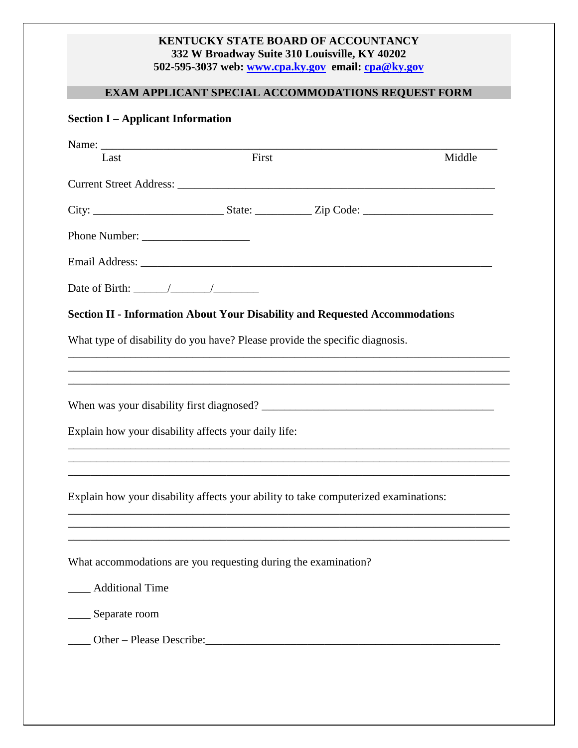#### **KENTUCKY STATE BOARD OF ACCOUNTANCY 332 W Broadway Suite 310 Louisville, KY 40202 502-595-3037 web: www.cpa.ky.gov email: cpa@ky.gov**

# **EXAM APPLICANT SPECIAL ACCOMMODATIONS REQUEST FORM**

### **Section I – Applicant Information**

| Last                                                                                | First                                                                            | Middle |
|-------------------------------------------------------------------------------------|----------------------------------------------------------------------------------|--------|
|                                                                                     |                                                                                  |        |
|                                                                                     |                                                                                  |        |
|                                                                                     |                                                                                  |        |
|                                                                                     |                                                                                  |        |
| Date of Birth: $\frac{\sqrt{2}}{2}$                                                 |                                                                                  |        |
| <b>Section II - Information About Your Disability and Requested Accommodations</b>  |                                                                                  |        |
| What type of disability do you have? Please provide the specific diagnosis.         |                                                                                  |        |
|                                                                                     |                                                                                  |        |
|                                                                                     |                                                                                  |        |
| When was your disability first diagnosed?                                           |                                                                                  |        |
| Explain how your disability affects your daily life:                                |                                                                                  |        |
|                                                                                     |                                                                                  |        |
| Explain how your disability affects your ability to take computerized examinations: | ,我们也不能在这里的时候,我们也不能在这里的时候,我们也不能会不能会不能会不能会不能会不能会不能会不能会不能会不能会。""我们的是,我们也不能会不能会不能会不能 |        |
|                                                                                     |                                                                                  |        |
|                                                                                     |                                                                                  |        |
| What accommodations are you requesting during the examination?                      |                                                                                  |        |
| <b>Additional Time</b>                                                              |                                                                                  |        |
| __ Separate room                                                                    |                                                                                  |        |
|                                                                                     |                                                                                  |        |